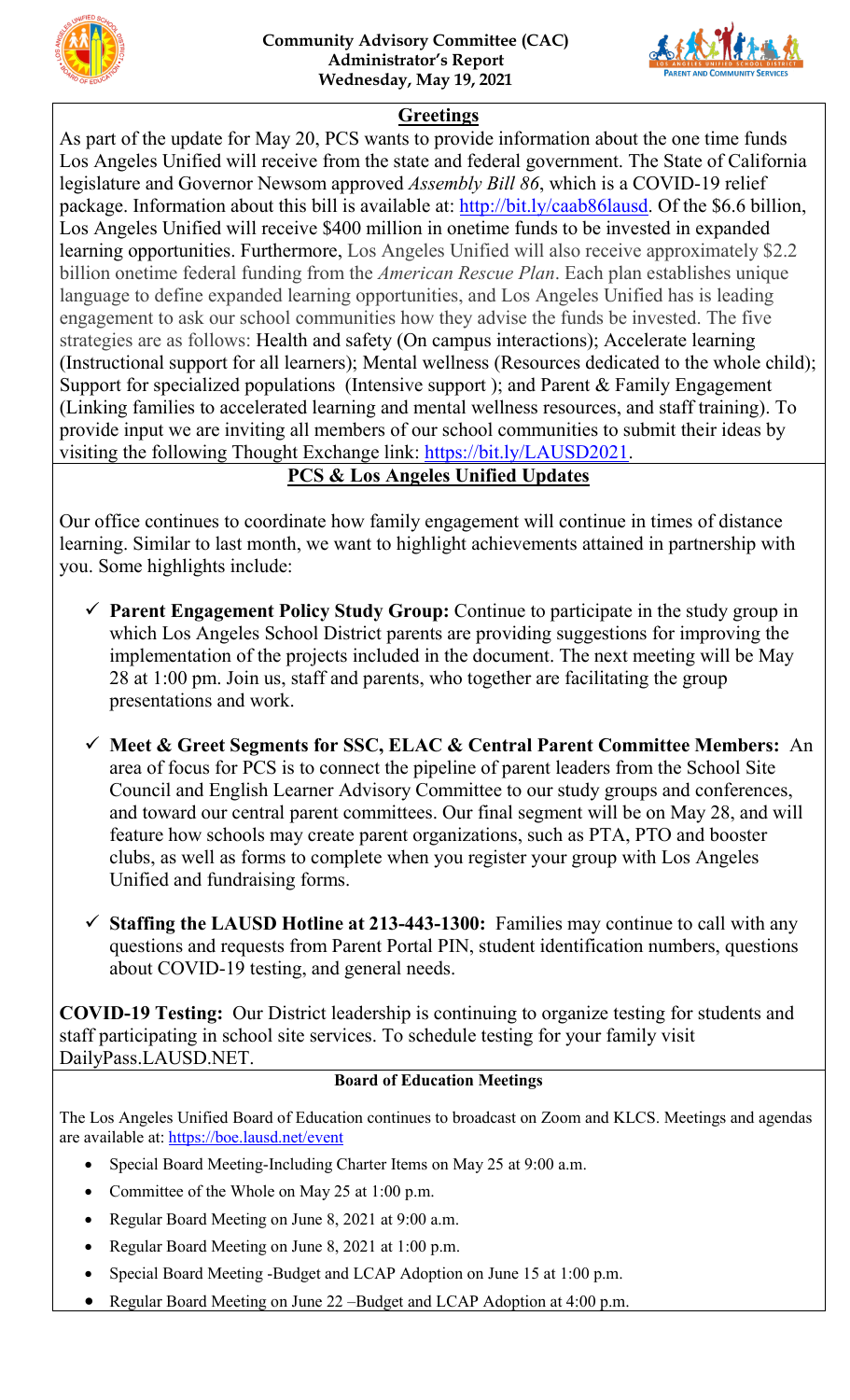



### **Greetings**

As part of the update for May 20, PCS wants to provide information about the one time funds Los Angeles Unified will receive from the state and federal government. The State of California legislature and Governor Newsom approved *Assembly Bill 86*, which is a COVID-19 relief package. Information about this bill is available at: [http://bit.ly/caab86lausd.](http://bit.ly/caab86lausd) Of the \$6.6 billion, Los Angeles Unified will receive \$400 million in onetime funds to be invested in expanded learning opportunities. Furthermore, Los Angeles Unified will also receive approximately \$2.2 billion onetime federal funding from the *American Rescue Plan*. Each plan establishes unique language to define expanded learning opportunities, and Los Angeles Unified has is leading engagement to ask our school communities how they advise the funds be invested. The five strategies are as follows: Health and safety (On campus interactions); Accelerate learning (Instructional support for all learners); Mental wellness (Resources dedicated to the whole child); Support for specialized populations (Intensive support); and Parent & Family Engagement (Linking families to accelerated learning and mental wellness resources, and staff training). To provide input we are inviting all members of our school communities to submit their ideas by visiting the following Thought Exchange link: [https://bit.ly/LAUSD2021.](https://bit.ly/LAUSD2021)

# **PCS & Los Angeles Unified Updates**

Our office continues to coordinate how family engagement will continue in times of distance learning. Similar to last month, we want to highlight achievements attained in partnership with you. Some highlights include:

- **Parent Engagement Policy Study Group:** Continue to participate in the study group in which Los Angeles School District parents are providing suggestions for improving the implementation of the projects included in the document. The next meeting will be May 28 at 1:00 pm. Join us, staff and parents, who together are facilitating the group presentations and work.
- **Meet & Greet Segments for SSC, ELAC & Central Parent Committee Members:** An area of focus for PCS is to connect the pipeline of parent leaders from the School Site Council and English Learner Advisory Committee to our study groups and conferences, and toward our central parent committees. Our final segment will be on May 28, and will feature how schools may create parent organizations, such as PTA, PTO and booster clubs, as well as forms to complete when you register your group with Los Angeles Unified and fundraising forms.
- **Staffing the LAUSD Hotline at 213-443-1300:** Families may continue to call with any questions and requests from Parent Portal PIN, student identification numbers, questions about COVID-19 testing, and general needs.

**COVID-19 Testing:** Our District leadership is continuing to organize testing for students and staff participating in school site services. To schedule testing for your family visit DailyPass.LAUSD.NET.

#### **Board of Education Meetings**

The Los Angeles Unified Board of Education continues to broadcast on Zoom and KLCS. Meetings and agendas are available at: [https://boe.lausd.net/event](https://boe.lausd.net/)

- Special Board Meeting-Including Charter Items on May 25 at 9:00 a.m.
- Committee of the Whole on May 25 at 1:00 p.m.
- Regular Board Meeting on June 8, 2021 at 9:00 a.m.
- Regular Board Meeting on June 8, 2021 at 1:00 p.m.
- Special Board Meeting -Budget and LCAP Adoption on June 15 at 1:00 p.m.
- Regular Board Meeting on June 22 –Budget and LCAP Adoption at 4:00 p.m.